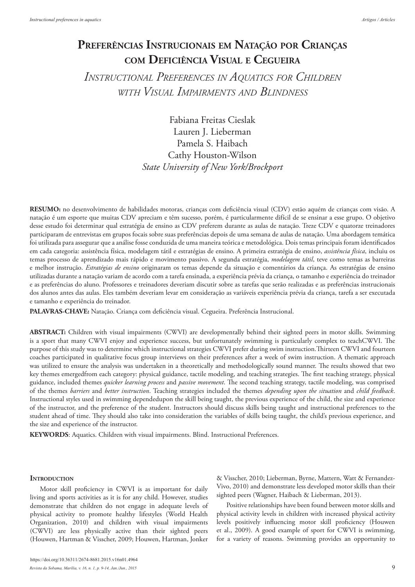# **Preferências Instrucionais em Natação por Crianças com Deficiência Visual <sup>e</sup> Cegueira**

*Instructional Preferences in Aquatics for Children with Visual Impairments and Blindness*

> Fabiana Freitas Cieslak Lauren J. Lieberman Pamela S. Haibach Cathy Houston-Wilson *State University of New York/Brockport*

**RESUMO:** no desenvolvimento de habilidades motoras, crianças com deficiência visual (CDV) estão aquém de crianças com visão. A natação é um esporte que muitas CDV apreciam e têm sucesso, porém, é particularmente difícil de se ensinar a esse grupo. O objetivo desse estudo foi determinar qual estratégia de ensino as CDV preferem durante as aulas de natação. Treze CDV e quatorze treinadores participaram de entrevistas em grupos focais sobre suas preferências depois de uma semana de aulas de natação. Uma abordagem temática foi utilizada para assegurar que a análise fosse conduzida de uma maneira teórica e metodológica. Dois temas principais foram identificados em cada categoria: assistência física, modelagem tátil e estratégias de ensino. A primeira estratégia de ensino, *assistência física*, incluiu os temas processo de aprendizado mais rápido e movimento passivo. A segunda estratégia, *modelagem tátil*, teve como temas as barreiras e melhor instrução. *Estratégias de ensino* originaram os temas depende da situação e comentários da criança. As estratégias de ensino utilizadas durante a natação variam de acordo com a tarefa ensinada, a experiência prévia da criança, o tamanho e experiência do treinador e as preferências do aluno. Professores e treinadores deveriam discutir sobre as tarefas que serão realizadas e as preferências instrucionais dos alunos antes das aulas. Eles também deveriam levar em consideração as variáveis experiência prévia da criança, tarefa a ser executada e tamanho e experiência do treinador.

**PALAVRAS-CHAVE:** Natação. Criança com deficiência visual. Cegueira. Preferência Instrucional.

**ABSTRACT:** Children with visual impairments (CWVI) are developmentally behind their sighted peers in motor skills. Swimming is a sport that many CWVI enjoy and experience success, but unfortunately swimming is particularly complex to teachCWVI. The purpose of this study was to determine which instructional strategies CWVI prefer during swim instruction.Thirteen CWVI and fourteen coaches participated in qualitative focus group interviews on their preferences after a week of swim instruction. A thematic approach was utilized to ensure the analysis was undertaken in a theoretically and methodologically sound manner. The results showed that two key themes emergedfrom each category: physical guidance, tactile modeling, and teaching strategies. The first teaching strategy, physical guidance, included themes *quicker learning process* and *passive movement*. The second teaching strategy, tactile modeling, was comprised of the themes *barriers* and *better instruction*. Teaching strategies included the themes *depending upon the situation* and *child feedback*. Instructional styles used in swimming dependedupon the skill being taught, the previous experience of the child, the size and experience of the instructor, and the preference of the student. Instructors should discuss skills being taught and instructional preferences to the student ahead of time. They should also take into consideration the variables of skills being taught, the child's previous experience, and the size and experience of the instructor.

**KEYWORDS**: Aquatics. Children with visual impairments. Blind. Instructional Preferences.

#### **INTRODUCTION**

Motor skill proficiency in CWVI is as important for daily living and sports activities as it is for any child. However, studies demonstrate that children do not engage in adequate levels of physical activity to promote healthy lifestyles (World Health Organization, 2010) and children with visual impairments (CWVI) are less physically active than their sighted peers (Houwen, Hartman & Visscher, 2009; Houwen, Hartman, Jonker

& Visscher, 2010; Lieberman, Byrne, Mattern, Watt & Fernandez-Vivo, 2010) and demonstrate less developed motor skills than their sighted peers (Wagner, Haibach & Lieberman, 2013).

Positive relationships have been found between motor skills and physical activity levels in children with increased physical activity levels positively influencing motor skill proficiency (Houwen et al., 2009). A good example of sport for CWVI is swimming, for a variety of reasons. Swimming provides an opportunity to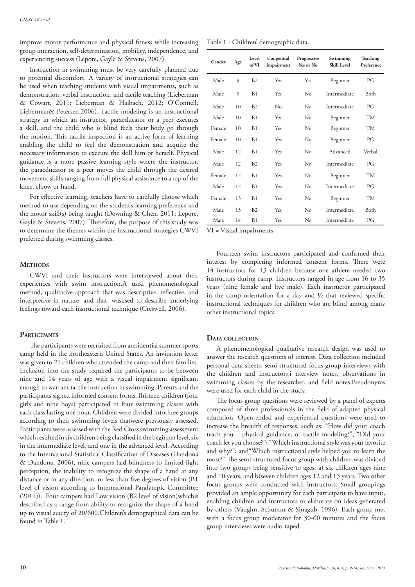improve motor performance and physical fitness while increasing group interaction, self-determination, mobility, independence, and experiencing success (Lepore, Gayle & Stevens, 2007).

Instruction in swimming must be very carefully planned due to potential discomfort. A variety of instructional strategies can be used when teaching students with visual impairments, such as demonstration, verbal instruction, and tactile teaching (Lieberman & Cowart, 2011; Lieberman & Haibach, 2012; O'Connell, Lieberman& Petersen,2006). Tactile modeling is an instructional strategy in which an instructor, paraeducator or a peer executes a skill, and the child who is blind feels their body go through the motion. This tactile inspection is an active form of learning enabling the child to feel the demonstration and acquire the necessary information to execute the skill him or herself. Physical guidance is a more passive learning style where the instructor, the paraeducator or a peer moves the child through the desired movement skills ranging from full physical assistance to a tap of the knee, elbow or hand.

For effective learning, teachers have to carefully choose which method to use depending on the student's learning preference and the motor skill(s) being taught (Downing & Chen, 2011; Lepore, Gayle & Stevens, 2007). Therefore, the purpose of this study was to determine the themes within the instructional strategies CWVI preferred during swimming classes.

# **METHODS**

CWVI and their instructors were interviewed about their experiences with swim instruction.A used phenomenological method, qualitative approach that was descriptive, reflective, and interpretive in nature, and that, wasused to describe underlying feelings toward each instructional technique (Creswell, 2006).

# **Participants**

The participants were recruited from aresidential summer sports camp held in the northeastern United States. An invitation letter was given to 21 children who attended the camp and their families. Inclusion into the study required the participants to be between nine and 14 years of age with a visual impairment significant enough to warrant tactile instruction in swimming. Parents and the participants signed informed consent forms.Thirteen children (four girls and nine boys) participated in four swimming classes with each class lasting one hour. Children were divided intothree groups according to their swimming levels thatwere previously assessed. Participants were assessed with the Red Cross swimming assessment which resulted in six children being classified in the beginner level, six in the intermediate level, and one in the advanced level. According to the International Statistical Classification of Diseases (Dandona & Dandona, 2006), nine campers had blindness to limited light perception, the inability to recognize the shape of a hand at any distance or in any direction, or less than five degrees of vision (B1 level of vision according to International Paralympic Committee (2011)). Four campers had Low vision (B2 level of vision)whichis described as a range from ability to recognize the shape of a hand up to visual acuity of 20/600.Children's demographical data can be found in Table 1.

| Table 1 - Children' demographic data. |  |
|---------------------------------------|--|
|---------------------------------------|--|

| Gender | Age | Level<br>of VI | Congenital<br>Impairment | Progressive<br>Yes or No | Swimming<br><b>Skill Level</b> | Teaching<br>Preference |
|--------|-----|----------------|--------------------------|--------------------------|--------------------------------|------------------------|
| Male   | 9   | B2             | Yes                      | Yes                      | Beginner                       | PG                     |
| Male   | 9   | B1             | Yes                      | No                       | Intermediate                   | Both                   |
| Male   | 10  | B2             | No                       | No                       | Intermediate                   | PG                     |
| Male   | 10  | B1             | Yes                      | No                       | Beginner                       | <b>TM</b>              |
| Female | 10  | B1             | Yes                      | No                       | Beginner                       | <b>TM</b>              |
| Female | 10  | B1             | <b>Yes</b>               | No                       | Beginner                       | PG                     |
| Male   | 12  | B1             | Yes                      | No                       | Advanced                       | Verbal                 |
| Male   | 12  | B2             | Yes                      | No                       | Intermediate                   | PG                     |
| Female | 12. | B <sub>1</sub> | Yes                      | No                       | Beginner                       | <b>TM</b>              |
| Male   | 12  | B1             | Yes                      | No                       | Intermediate                   | PG                     |
| Female | 13  | B1             | Yes                      | No                       | Beginner                       | <b>TM</b>              |
| Male   | 13  | B2             | Yes                      | No                       | Intermediate                   | Both                   |
| Male   | 14  | B1             | Yes                      | No                       | Intermediate                   | PG                     |

VI = Visual impairments

Fourteen swim instructors participated and confirmed their interest by completing informed consent forms. There were 14 instructors for 13 children because one athlete needed two instructors during camp. Instructors ranged in age from 16 to 35 years (nine female and five male). Each instructor participated in the camp orientation for a day and  $\frac{1}{2}$  that reviewed specific instructional techniques for children who are blind among many other instructional topics.

## **Data collection**

A phenomenological qualitative research design was used to answer the research questions of interest. Data collection included personal data sheets, semi-structured focus group interviews with the children and instructors,i nterview notes, observations in swimming classes by the researcher, and field notes.Pseudonyms were used for each child in the study.

The focus group questions were reviewed by a panel of experts composed of three professionals in the field of adapted physical education. Open-ended and experiential questions were used to increase the breadth of responses, such as: "How did your coach teach you – physical guidance, or tactile modeling?"; "Did your coach let you choose?"; "Which instructional style was your favorite and why?"; and"Which instructional style helped you to learn the most?" The semi-structured focus group with children was divided into two groups being sensitive to ages: a) six children ages nine and 10 years, and b)seven children ages 12 and 13 years. Two other focus groups were conducted with instructors. Small groupings provided an ample opportunity for each participant to have input, enabling children and instructors to elaborate on ideas generated by others (Vaughn, Schumm & Sinagub, 1996). Each group met with a focus group moderator for 30-60 minutes and the focus group interviews were audio-taped.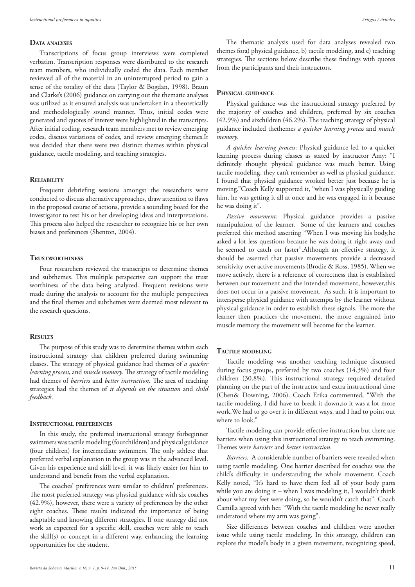# **Data analyses**

Transcriptions of focus group interviews were completed verbatim. Transcription responses were distributed to the research team members, who individually coded the data. Each member reviewed all of the material in an uninterrupted period to gain a sense of the totality of the data (Taylor & Bogdan, 1998). Braun and Clarke's (2006) guidance on carrying out the thematic analyses was utilized as it ensured analysis was undertaken in a theoretically and methodologically sound manner. Thus, initial codes were generated and quotes of interest were highlighted in the transcripts. After initial coding, research team members met to review emerging codes, discuss variations of codes, and review emerging themes.It was decided that there were two distinct themes within physical guidance, tactile modeling, and teaching strategies.

# **Reliability**

Frequent debriefing sessions amongst the researchers were conducted to discuss alternative approaches, draw attention to flaws in the proposed course of actions, provide a sounding board for the investigator to test his or her developing ideas and interpretations. This process also helped the researcher to recognize his or her own biases and preferences (Shenton, 2004).

# **Trustworthiness**

Four researchers reviewed the transcripts to determine themes and subthemes. This multiple perspective can support the trust worthiness of the data being analyzed. Frequent revisions were made during the analysis to account for the multiple perspectives and the final themes and subthemes were deemed most relevant to the research questions.

#### **Results**

The purpose of this study was to determine themes within each instructional strategy that children preferred during swimming classes. The strategy of physical guidance had themes of *a quicker learning process*, and *muscle memory*. The strategy of tactile modeling had themes of *barriers* and *better instruction.* The area of teaching strategies had the themes of *it depends on the situation* and *child feedback*.

#### **Instructional preferences**

In this study, the preferred instructional strategy forbeginner swimmers was tactile modeling (fourchildren) and physical guidance (four children) for intermediate swimmers. The only athlete that preferred verbal explanation in the group was in the advanced level. Given his experience and skill level, it was likely easier for him to understand and benefit from the verbal explanation.

The coaches' preferences were similar to children' preferences. The most preferred strategy was physical guidance with six coaches (42.9%), however, there were a variety of preferences by the other eight coaches. These results indicated the importance of being adaptable and knowing different strategies. If one strategy did not work as expected for a specific skill, coaches were able to teach the skill(s) or concept in a different way, enhancing the learning opportunities for the student.

The thematic analysis used for data analyses revealed two themes fora) physical guidance, b) tactile modeling, and c) teaching strategies. The sections below describe these findings with quotes from the participants and their instructors.

#### **Physical guidance**

Physical guidance was the instructional strategy preferred by the majority of coaches and children, preferred by six coaches (42.9%) and sixchildren (46.2%). The teaching strategy of physical guidance included thethemes *a quicker learning process* and *muscle memory*.

*A quicker learning process*: Physical guidance led to a quicker learning process during classes as stated by instructor Amy: "I definitely thought physical guidance was much better. Using tactile modeling, they can't remember as well as physical guidance. I found that physical guidance worked better just because he is moving."Coach Kelly supported it, "when I was physically guiding him, he was getting it all at once and he was engaged in it because he was doing it".

*Passive movement:* Physical guidance provides a passive manipulation of the learner. Some of the learners and coaches preferred this method asserting "When I was moving his body,he asked a lot less questions because he was doing it right away and he seemed to catch on faster".Although an effective strategy, it should be asserted that passive movements provide a decreased sensitivity over active movements (Brodie & Ross, 1985). When we move actively, there is a reference of correctness that is established between our movement and the intended movement, however,this does not occur in a passive movement. As such, it is important to intersperse physical guidance with attempts by the learner without physical guidance in order to establish these signals. The more the learner then practices the movement, the more engrained into muscle memory the movement will become for the learner.

# **Tactile modeling**

Tactile modeling was another teaching technique discussed during focus groups, preferred by two coaches (14.3%) and four children (30.8%). This instructional strategy required detailed planning on the part of the instructor and extra instructional time (Chen& Downing, 2006). Coach Erika commented, "With the tactile modeling, I did have to break it down,so it was a lot more work.We had to go over it in different ways, and I had to point out where to look."

Tactile modeling can provide effective instruction but there are barriers when using this instructional strategy to teach swimming. Themes were *barriers* and *better instruction*.

*Barriers:* A considerable number of barriers were revealed when using tactile modeling. One barrier described for coaches was the child's difficulty in understanding the whole movement. Coach Kelly noted, "It's hard to have them feel all of your body parts while you are doing it – when I was modeling it, I wouldn't think about what my feet were doing, so he wouldn't catch that". Coach Camilla agreed with her. "With the tactile modeling he never really understood where my arm was going".

Size differences between coaches and children were another issue while using tactile modeling. In this strategy, children can explore the model's body in a given movement, recognizing speed,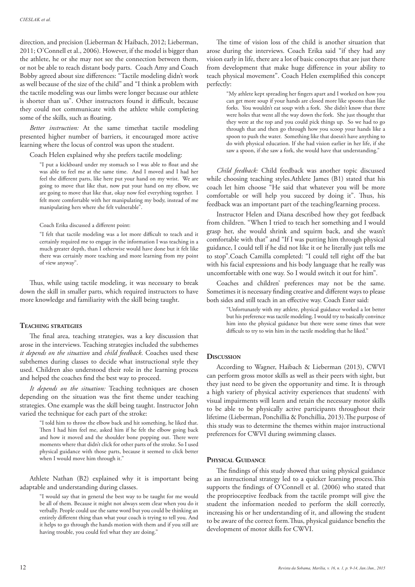direction, and precision (Lieberman & Haibach, 2012; Lieberman, 2011; O'Connell et al., 2006). However, if the model is bigger than the athlete, he or she may not see the connection between them, or not be able to reach distant body parts. Coach Amy and Coach Bobby agreed about size differences: "Tactile modeling didn't work as well because of the size of the child" and "I think a problem with the tactile modeling was our limbs were longer because our athlete is shorter than us". Other instructors found it difficult, because they could not communicate with the athlete while completing some of the skills, such as floating.

*Better instruction:* At the same timethat tactile modeling presented higher number of barriers, it encouraged more active learning where the locus of control was upon the student.

Coach Helen explained why she prefers tactile modeling:

"I put a kickboard under my stomach so I was able to float and she was able to feel me at the same time. And I moved and I had her feel the different parts, like here put your hand on my wrist. We are going to move that like that, now put your hand on my elbow, we are going to move that like that, okay now feel everything together. I felt more comfortable with her manipulating my body, instead of me manipulating hers where she felt vulnerable".

Coach Erika discussed a different point:

"I felt that tactile modeling was a lot more difficult to teach and it certainly required me to engage in the information I was teaching in a much greater depth, than I otherwise would have done but it felt like there was certainly more teaching and more learning from my point of view anyway".

Thus, while using tactile modeling, it was necessary to break down the skill in smaller parts, which required instructors to have more knowledge and familiarity with the skill being taught.

# **Teaching strategies**

The final area, teaching strategies, was a key discussion that arose in the interviews. Teaching strategies included the subthemes *it depends on the situation* and *child feedback*. Coaches used these subthemes during classes to decide what instructional style they used. Children also understood their role in the learning process and helped the coaches find the best way to proceed.

*It depends on the situation:* Teaching techniques are chosen depending on the situation was the first theme under teaching strategies. One example was the skill being taught. Instructor John varied the technique for each part of the stroke:

> "I told him to throw the elbow back and hit something, he liked that. Then I had him feel me, asked him if he felt the elbow going back and how it moved and the shoulder bone popping out. There were moments where that didn't click for other parts of the stroke. So I used physical guidance with those parts, because it seemed to click better when I would move him through it."

Athlete Nathan (B2) explained why it is important being adaptable and understanding during classes.

> "I would say that in general the best way to be taught for me would be all of them. Because it might not always seem clear when you do it verbally. People could use the same word but you could be thinking an entirely different thing than what your coach is trying to tell you. And it helps to go through the hands motion with them and if you still are having trouble, you could feel what they are doing."

The time of vision loss of the child is another situation that arose during the interviews. Coach Erika said "if they had any vision early in life, there are a lot of basic concepts that are just there from development that make huge difference in your ability to teach physical movement". Coach Helen exemplified this concept perfectly:

> "My athlete kept spreading her fingers apart and I worked on how you can get more soup if your hands are closed more like spoons than like forks. You wouldn't eat soup with a fork. She didn't know that there were holes that went all the way down the fork. She just thought that they were at the top and you could pick things up. So we had to go through that and then go through how you scoop your hands like a spoon to push the water. Something like that doesn't have anything to do with physical education. If she had vision earlier in her life, if she saw a spoon, if she saw a fork, she would have that understanding."

*Child feedback:* Child feedback was another topic discussed while choosing teaching styles.Athlete James (B1) stated that his coach let him choose "He said that whatever you will be more comfortable or will help you succeed by doing it". Thus, his feedback was an important part of the teaching/learning process.

Instructor Helen and Diana described how they got feedback from children. "When I tried to teach her something and I would grasp her, she would shrink and squirm back, and she wasn't comfortable with that" and "If I was putting him through physical guidance, I could tell if he did not like it or he literally just tells me to stop".Coach Camilla completed: "I could tell right off the bat with his facial expressions and his body language that he really was uncomfortable with one way. So I would switch it out for him".

Coaches and children' preferences may not be the same. Sometimes it is necessary finding creative and different ways to please both sides and still teach in an effective way. Coach Ester said:

> "Unfortunately with my athlete, physical guidance worked a lot better but his preference was tactile modeling. I would try to basically convince him into the physical guidance but there were some times that were difficult to try to win him in the tactile modeling that he liked."

# **Discussion**

According to Wagner, Haibach & Lieberman (2013), CWVI can perform gross motor skills as well as their peers with sight, but they just need to be given the opportunity and time. It is through a high variety of physical activity experiences that students' with visual impairments will learn and retain the necessary motor skills to be able to be physically active participants throughout their lifetime (Lieberman, Ponchillia & Ponchillia, 2013).The purpose of this study was to determine the themes within major instructional preferences for CWVI during swimming classes.

## **Physical Guidance**

The findings of this study showed that using physical guidance as an instructional strategy led to a quicker learning process.This supports the findings of O'Connell et al. (2006) who stated that the proprioceptive feedback from the tactile prompt will give the student the information needed to perform the skill correctly, increasing his or her understanding of it, and allowing the student to be aware of the correct form.Thus, physical guidance benefits the development of motor skills for CWVI.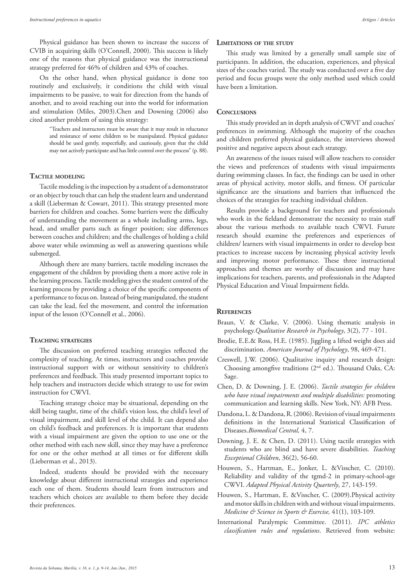Physical guidance has been shown to increase the success of CVIB in acquiring skills (O'Connell, 2000). This success is likely one of the reasons that physical guidance was the instructional strategy preferred for 46% of children and 43% of coaches.

On the other hand, when physical guidance is done too routinely and exclusively, it conditions the child with visual impairments to be passive, to wait for direction from the hands of another, and to avoid reaching out into the world for information and stimulation (Miles, 2003).Chen and Downing (2006) also cited another problem of using this strategy:

> "Teachers and instructors must be aware that it may result in reluctance and resistance of some children to be manipulated. Physical guidance should be used gently, respectfully, and cautiously, given that the child may not actively participate and has little control over the process" (p. 88).

#### **Tactile modeling**

Tactile modeling is the inspection by a student of a demonstrator or an object by touch that can help the student learn and understand a skill (Lieberman & Cowart, 2011). This strategy presented more barriers for children and coaches. Some barriers were the difficulty of understanding the movement as a whole including arms, legs, head, and smaller parts such as finger position; size differences between coaches and children; and the challenges of holding a child above water while swimming as well as answering questions while submerged.

Although there are many barriers, tactile modeling increases the engagement of the children by providing them a more active role in the learning process. Tactile modeling gives the student control of the learning process by providing a choice of the specific components of a performance to focus on. Instead of being manipulated, the student can take the lead, feel the movement, and control the information input of the lesson (O'Connell et al., 2006).

# **Teaching strategies**

The discussion on preferred teaching strategies reflected the complexity of teaching. At times, instructors and coaches provide instructional support with or without sensitivity to children's preferences and feedback. This study presented important topics to help teachers and instructors decide which strategy to use for swim instruction for CWVI.

Teaching strategy choice may be situational, depending on the skill being taught, time of the child's vision loss, the child's level of visual impairment, and skill level of the child. It can depend also on child's feedback and preferences. It is important that students with a visual impairment are given the option to use one or the other method with each new skill, since they may have a preference for one or the other method at all times or for different skills (Lieberman et al., 2013).

Indeed, students should be provided with the necessary knowledge about different instructional strategies and experience each one of them. Students should learn from instructors and teachers which choices are available to them before they decide their preferences.

## **Limitations of the study**

This study was limited by a generally small sample size of participants. In addition, the education, experiences, and physical sizes of the coaches varied. The study was conducted over a five day period and focus groups were the only method used which could have been a limitation.

## **Conclusions**

This study provided an in depth analysis of CWVI' and coaches' preferences in swimming. Although the majority of the coaches and children preferred physical guidance, the interviews showed positive and negative aspects about each strategy.

An awareness of the issues raised will allow teachers to consider the views and preferences of students with visual impairments during swimming classes. In fact, the findings can be used in other areas of physical activity, motor skills, and fitness. Of particular significance are the situations and barriers that influenced the choices of the strategies for teaching individual children.

Results provide a background for teachers and professionals who work in the fieldand demonstrate the necessity to train staff about the various methods to available teach CWVI. Future research should examine the preferences and experiences of children/ learners with visual impairments in order to develop best practices to increase success by increasing physical activity levels and improving motor performance. These three instructional approaches and themes are worthy of discussion and may have implications for teachers, parents, and professionals in the Adapted Physical Education and Visual Impairment fields.

## **References**

- Braun, V. & Clarke, V. (2006). Using thematic analysis in psychology.*Qualitative Research in Psychology*, 3(2), 77 - 101.
- Brodie, E.E.& Ross, H.E. (1985). Jiggling a lifted weight does aid discrimination. *American Journal of Psychology*, 98, 469-471.
- Creswell, J.W. (2006). Qualitative inquiry and research design: Choosing amongfive traditions (2nd ed.). Thousand Oaks, CA: Sage.
- Chen, D. & Downing, J. E. (2006). *Tactile strategies for children who have visual impairments and multiple disabilities:* promoting communication and learning skills. New York, NY: AFB Press.
- Dandona, L. & Dandona, R. (2006). Revision of visual impairments definitions in the International Statistical Classification of Diseases.*Biomedical Central,* 4, 7.
- Downing, J. E. & Chen, D. (2011). Using tactile strategies with students who are blind and have severe disabilities. *Teaching Exceptional Children*, 36(2), 56-60.
- Houwen, S., Hartman, E., Jonker, L. &Visscher, C. (2010). Reliability and validity of the tgmd-2 in primary-school-age CWVI. *Adapted Physical Activity Quarterly*, 27, 143-159.
- Houwen, S., Hartman, E. &Visscher, C. (2009).Physical activity and motor skills in children with and without visual impairments. *Medicine & Science in Sports & Exercise,* 41(1), 103-109.
- International Paralympic Committee. (2011). *IPC athletics classification rules and regulations*. Retrieved from website: